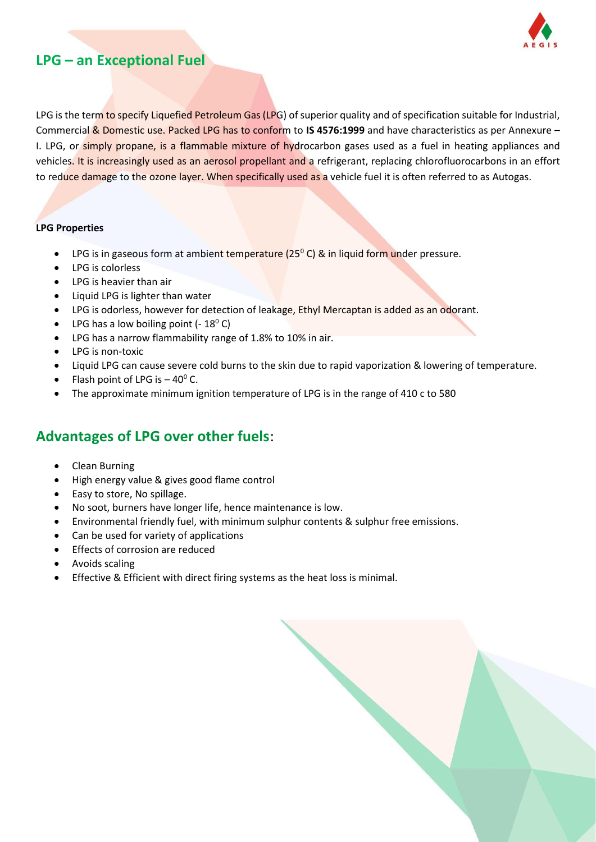

## **LPG – an Exceptional Fuel**

LPG is the term to specify Liquefied Petroleum Gas (LPG) of superior quality and of specification suitable for Industrial, Commercial & Domestic use. Packed LPG has to conform to **IS 4576:1999** and have characteristics as per Annexure – I. LPG, or simply propane, is a flammable mixture of hydrocarbon gases used as a fuel in heating appliances and vehicles. It is increasingly used as an aerosol propellant and a refrigerant, replacing chlorofluorocarbons in an effort to reduce damage to the ozone layer. When specifically used as a vehicle fuel it is often referred to as Autogas.

#### **LPG Properties**

- **•** LPG is in gaseous form at ambient temperature  $(25^{\circ} C)$  & in liquid form under pressure.
- LPG is colorless
- LPG is heavier than air
- Liquid LPG is lighter than water
- LPG is odorless, however for detection of leakage, Ethyl Mercaptan is added as an odorant.
- LPG has a low boiling point  $(-18^{\circ} C)$
- LPG has a narrow flammability range of 1.8% to 10% in air.
- LPG is non-toxic
- Liquid LPG can cause severe cold burns to the skin due to rapid vaporization & lowering of temperature.
- Flash point of LPG is  $-40^{\circ}$  C.
- The approximate minimum ignition temperature of LPG is in the range of 410 c to 580

## **Advantages of LPG over other fuels**:

- Clean Burning
- High energy value & gives good flame control
- Easy to store, No spillage.
- No soot, burners have longer life, hence maintenance is low.
- Environmental friendly fuel, with minimum sulphur contents & sulphur free emissions.
- Can be used for variety of applications
- Effects of corrosion are reduced
- Avoids scaling
- Effective & Efficient with direct firing systems as the heat loss is minimal.